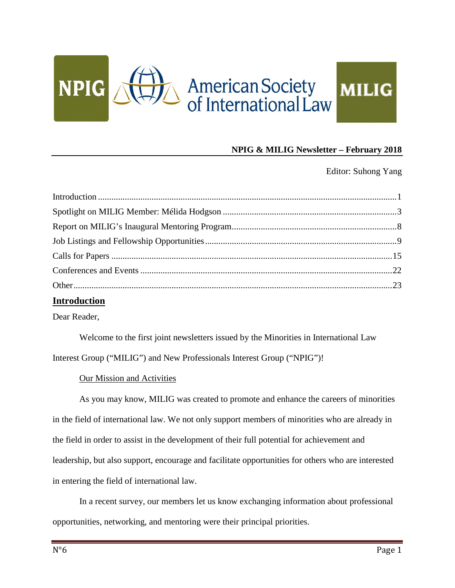

## **NPIG & MILIG Newsletter – February 2018**

Editor: Suhong Yang

| <b>Introduction</b> |  |
|---------------------|--|

Dear Reader,

Welcome to the first joint newsletters issued by the Minorities in International Law Interest Group ("MILIG") and New Professionals Interest Group ("NPIG")!

### Our Mission and Activities

As you may know, MILIG was created to promote and enhance the careers of minorities in the field of international law. We not only support members of minorities who are already in the field in order to assist in the development of their full potential for achievement and leadership, but also support, encourage and facilitate opportunities for others who are interested in entering the field of international law.

In a recent survey, our members let us know exchanging information about professional opportunities, networking, and mentoring were their principal priorities.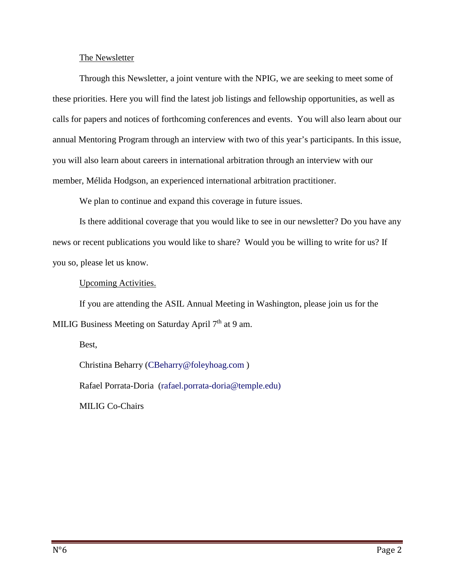#### The Newsletter

Through this Newsletter, a joint venture with the NPIG, we are seeking to meet some of these priorities. Here you will find the latest job listings and fellowship opportunities, as well as calls for papers and notices of forthcoming conferences and events. You will also learn about our annual Mentoring Program through an interview with two of this year's participants. In this issue, you will also learn about careers in international arbitration through an interview with our member, Mélida Hodgson, an experienced international arbitration practitioner.

We plan to continue and expand this coverage in future issues.

Is there additional coverage that you would like to see in our newsletter? Do you have any news or recent publications you would like to share? Would you be willing to write for us? If you so, please let us know.

Upcoming Activities.

If you are attending the ASIL Annual Meeting in Washington, please join us for the MILIG Business Meeting on Saturday April 7<sup>th</sup> at 9 am.

Best,

Christina Beharry (CBeharry@foleyhoag.com ) Rafael Porrata-Doria (rafael.porrata-doria@temple.edu) MILIG Co-Chairs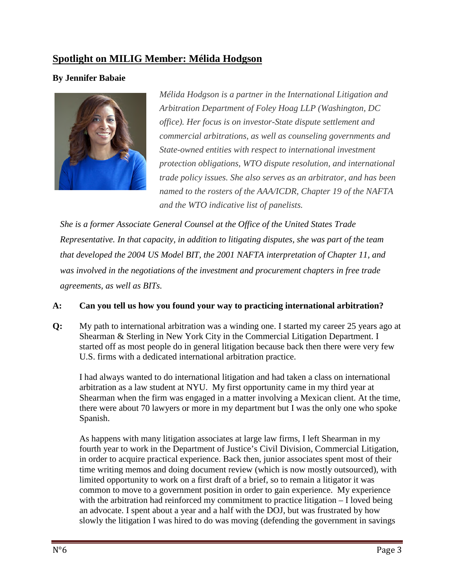## **Spotlight on MILIG Member: Mélida Hodgson**

## **By Jennifer Babaie**



*Mélida Hodgson is a partner in the International Litigation and Arbitration Department of Foley Hoag LLP (Washington, DC office). Her focus is on investor-State dispute settlement and commercial arbitrations, as well as counseling governments and State-owned entities with respect to international investment protection obligations, WTO dispute resolution, and international trade policy issues. She also serves as an arbitrator, and has been named to the rosters of the AAA/ICDR, Chapter 19 of the NAFTA and the WTO indicative list of panelists.*

*She is a former Associate General Counsel at the Office of the United States Trade Representative. In that capacity, in addition to litigating disputes, she was part of the team that developed the 2004 US Model BIT, the 2001 NAFTA interpretation of Chapter 11, and was involved in the negotiations of the investment and procurement chapters in free trade agreements, as well as BITs.*

### **A: Can you tell us how you found your way to practicing international arbitration?**

**Q:** My path to international arbitration was a winding one. I started my career 25 years ago at Shearman & Sterling in New York City in the Commercial Litigation Department. I started off as most people do in general litigation because back then there were very few U.S. firms with a dedicated international arbitration practice.

I had always wanted to do international litigation and had taken a class on international arbitration as a law student at NYU. My first opportunity came in my third year at Shearman when the firm was engaged in a matter involving a Mexican client. At the time, there were about 70 lawyers or more in my department but I was the only one who spoke Spanish.

As happens with many litigation associates at large law firms, I left Shearman in my fourth year to work in the Department of Justice's Civil Division, Commercial Litigation, in order to acquire practical experience. Back then, junior associates spent most of their time writing memos and doing document review (which is now mostly outsourced), with limited opportunity to work on a first draft of a brief, so to remain a litigator it was common to move to a government position in order to gain experience. My experience with the arbitration had reinforced my commitment to practice litigation – I loved being an advocate. I spent about a year and a half with the DOJ, but was frustrated by how slowly the litigation I was hired to do was moving (defending the government in savings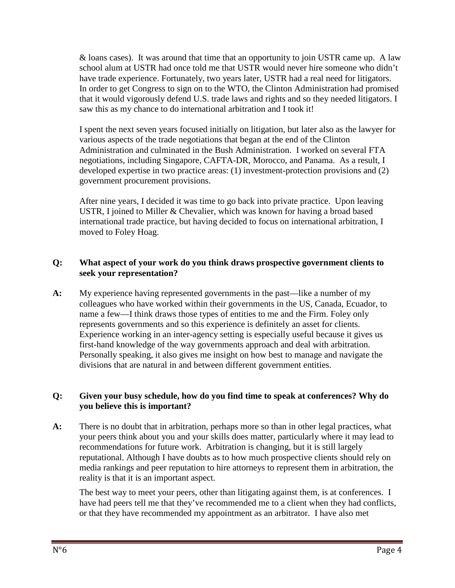& loans cases). It was around that time that an opportunity to join USTR came up. A law school alum at USTR had once told me that USTR would never hire someone who didn't have trade experience. Fortunately, two years later, USTR had a real need for litigators. In order to get Congress to sign on to the WTO, the Clinton Administration had promised that it would vigorously defend U.S. trade laws and rights and so they needed litigators. I saw this as my chance to do international arbitration and I took it!

I spent the next seven years focused initially on litigation, but later also as the lawyer for various aspects of the trade negotiations that began at the end of the Clinton Administration and culminated in the Bush Administration. I worked on several FTA negotiations, including Singapore, CAFTA-DR, Morocco, and Panama. As a result, I developed expertise in two practice areas: (1) investment-protection provisions and (2) government procurement provisions.

After nine years, I decided it was time to go back into private practice. Upon leaving USTR, I joined to Miller & Chevalier, which was known for having a broad based international trade practice, but having decided to focus on international arbitration, I moved to Foley Hoag.

### **Q: What aspect of your work do you think draws prospective government clients to seek your representation?**

**A:** My experience having represented governments in the past—like a number of my colleagues who have worked within their governments in the US, Canada, Ecuador, to name a few—I think draws those types of entities to me and the Firm. Foley only represents governments and so this experience is definitely an asset for clients. Experience working in an inter-agency setting is especially useful because it gives us first-hand knowledge of the way governments approach and deal with arbitration. Personally speaking, it also gives me insight on how best to manage and navigate the divisions that are natural in and between different government entities.

### **Q: Given your busy schedule, how do you find time to speak at conferences? Why do you believe this is important?**

**A:** There is no doubt that in arbitration, perhaps more so than in other legal practices, what your peers think about you and your skills does matter, particularly where it may lead to recommendations for future work. Arbitration is changing, but it is still largely reputational. Although I have doubts as to how much prospective clients should rely on media rankings and peer reputation to hire attorneys to represent them in arbitration, the reality is that it is an important aspect.

The best way to meet your peers, other than litigating against them, is at conferences. I have had peers tell me that they've recommended me to a client when they had conflicts, or that they have recommended my appointment as an arbitrator. I have also met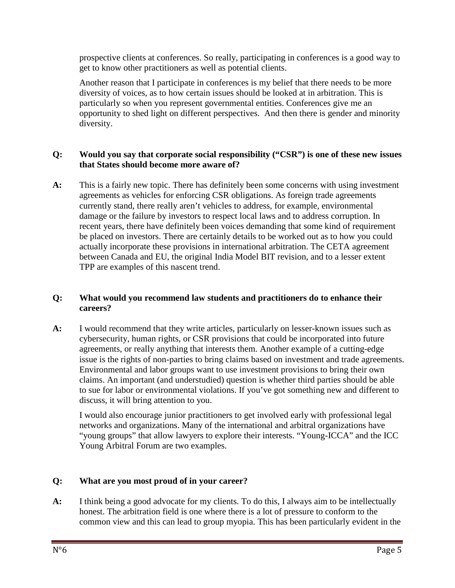prospective clients at conferences. So really, participating in conferences is a good way to get to know other practitioners as well as potential clients.

Another reason that I participate in conferences is my belief that there needs to be more diversity of voices, as to how certain issues should be looked at in arbitration. This is particularly so when you represent governmental entities. Conferences give me an opportunity to shed light on different perspectives. And then there is gender and minority diversity.

### **Q: Would you say that corporate social responsibility ("CSR") is one of these new issues that States should become more aware of?**

**A:** This is a fairly new topic. There has definitely been some concerns with using investment agreements as vehicles for enforcing CSR obligations. As foreign trade agreements currently stand, there really aren't vehicles to address, for example, environmental damage or the failure by investors to respect local laws and to address corruption. In recent years, there have definitely been voices demanding that some kind of requirement be placed on investors. There are certainly details to be worked out as to how you could actually incorporate these provisions in international arbitration. The CETA agreement between Canada and EU, the original India Model BIT revision, and to a lesser extent TPP are examples of this nascent trend.

### **Q: What would you recommend law students and practitioners do to enhance their careers?**

**A:** I would recommend that they write articles, particularly on lesser-known issues such as cybersecurity, human rights, or CSR provisions that could be incorporated into future agreements, or really anything that interests them. Another example of a cutting-edge issue is the rights of non-parties to bring claims based on investment and trade agreements. Environmental and labor groups want to use investment provisions to bring their own claims. An important (and understudied) question is whether third parties should be able to sue for labor or environmental violations. If you've got something new and different to discuss, it will bring attention to you.

I would also encourage junior practitioners to get involved early with professional legal networks and organizations. Many of the international and arbitral organizations have "young groups" that allow lawyers to explore their interests. "Young-ICCA" and the ICC Young Arbitral Forum are two examples.

### **Q: What are you most proud of in your career?**

**A:** I think being a good advocate for my clients. To do this, I always aim to be intellectually honest. The arbitration field is one where there is a lot of pressure to conform to the common view and this can lead to group myopia. This has been particularly evident in the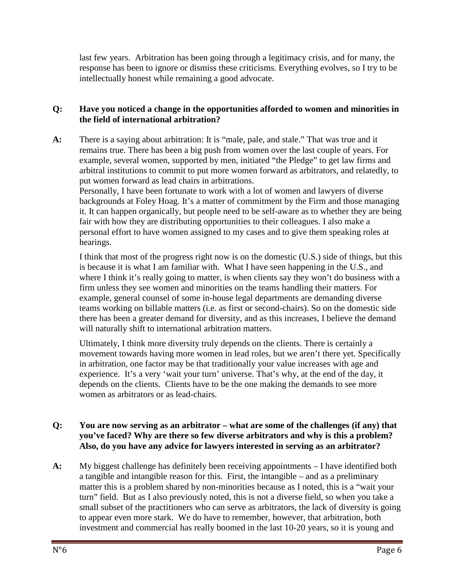last few years. Arbitration has been going through a legitimacy crisis, and for many, the response has been to ignore or dismiss these criticisms. Everything evolves, so I try to be intellectually honest while remaining a good advocate.

### **Q: Have you noticed a change in the opportunities afforded to women and minorities in the field of international arbitration?**

**A:** There is a saying about arbitration: It is "male, pale, and stale." That was true and it remains true. There has been a big push from women over the last couple of years. For example, several women, supported by men, initiated "the Pledge" to get law firms and arbitral institutions to commit to put more women forward as arbitrators, and relatedly, to put women forward as lead chairs in arbitrations.

Personally, I have been fortunate to work with a lot of women and lawyers of diverse backgrounds at Foley Hoag. It's a matter of commitment by the Firm and those managing it. It can happen organically, but people need to be self-aware as to whether they are being fair with how they are distributing opportunities to their colleagues. I also make a personal effort to have women assigned to my cases and to give them speaking roles at hearings.

I think that most of the progress right now is on the domestic (U.S.) side of things, but this is because it is what I am familiar with. What I have seen happening in the U.S., and where I think it's really going to matter, is when clients say they won't do business with a firm unless they see women and minorities on the teams handling their matters. For example, general counsel of some in-house legal departments are demanding diverse teams working on billable matters (i.e. as first or second-chairs). So on the domestic side there has been a greater demand for diversity, and as this increases, I believe the demand will naturally shift to international arbitration matters.

Ultimately, I think more diversity truly depends on the clients. There is certainly a movement towards having more women in lead roles, but we aren't there yet. Specifically in arbitration, one factor may be that traditionally your value increases with age and experience. It's a very 'wait your turn' universe. That's why, at the end of the day, it depends on the clients. Clients have to be the one making the demands to see more women as arbitrators or as lead-chairs.

#### **Q: You are now serving as an arbitrator – what are some of the challenges (if any) that you've faced? Why are there so few diverse arbitrators and why is this a problem? Also, do you have any advice for lawyers interested in serving as an arbitrator?**

**A:** My biggest challenge has definitely been receiving appointments – I have identified both a tangible and intangible reason for this. First, the intangible – and as a preliminary matter this is a problem shared by non-minorities because as I noted, this is a "wait your turn" field. But as I also previously noted, this is not a diverse field, so when you take a small subset of the practitioners who can serve as arbitrators, the lack of diversity is going to appear even more stark. We do have to remember, however, that arbitration, both investment and commercial has really boomed in the last 10-20 years, so it is young and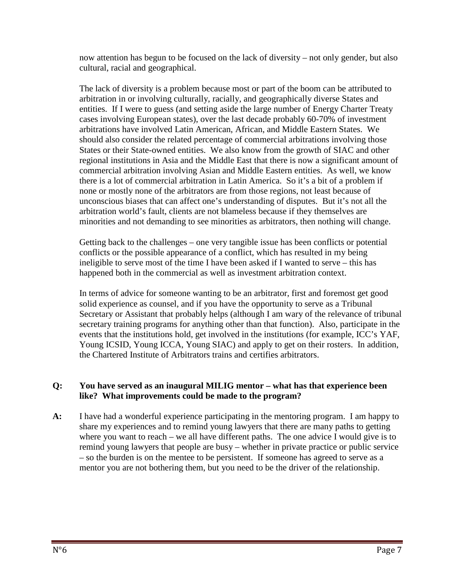now attention has begun to be focused on the lack of diversity – not only gender, but also cultural, racial and geographical.

The lack of diversity is a problem because most or part of the boom can be attributed to arbitration in or involving culturally, racially, and geographically diverse States and entities. If I were to guess (and setting aside the large number of Energy Charter Treaty cases involving European states), over the last decade probably 60-70% of investment arbitrations have involved Latin American, African, and Middle Eastern States. We should also consider the related percentage of commercial arbitrations involving those States or their State-owned entities. We also know from the growth of SIAC and other regional institutions in Asia and the Middle East that there is now a significant amount of commercial arbitration involving Asian and Middle Eastern entities. As well, we know there is a lot of commercial arbitration in Latin America. So it's a bit of a problem if none or mostly none of the arbitrators are from those regions, not least because of unconscious biases that can affect one's understanding of disputes. But it's not all the arbitration world's fault, clients are not blameless because if they themselves are minorities and not demanding to see minorities as arbitrators, then nothing will change.

Getting back to the challenges – one very tangible issue has been conflicts or potential conflicts or the possible appearance of a conflict, which has resulted in my being ineligible to serve most of the time I have been asked if I wanted to serve – this has happened both in the commercial as well as investment arbitration context.

In terms of advice for someone wanting to be an arbitrator, first and foremost get good solid experience as counsel, and if you have the opportunity to serve as a Tribunal Secretary or Assistant that probably helps (although I am wary of the relevance of tribunal secretary training programs for anything other than that function). Also, participate in the events that the institutions hold, get involved in the institutions (for example, ICC's YAF, Young ICSID, Young ICCA, Young SIAC) and apply to get on their rosters. In addition, the Chartered Institute of Arbitrators trains and certifies arbitrators.

### **Q: You have served as an inaugural MILIG mentor – what has that experience been like? What improvements could be made to the program?**

**A:** I have had a wonderful experience participating in the mentoring program. I am happy to share my experiences and to remind young lawyers that there are many paths to getting where you want to reach – we all have different paths. The one advice I would give is to remind young lawyers that people are busy – whether in private practice or public service – so the burden is on the mentee to be persistent. If someone has agreed to serve as a mentor you are not bothering them, but you need to be the driver of the relationship.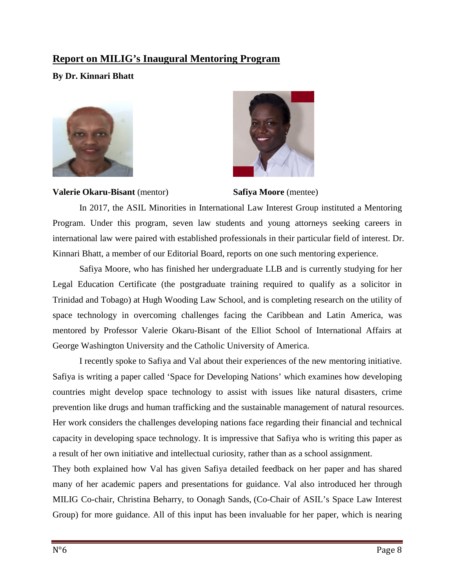## **Report on MILIG's Inaugural Mentoring Program**

## **By Dr. Kinnari Bhatt**





**Valerie Okaru-Bisant** (mentor) **Safiya Moore** (mentee)

In 2017, the ASIL Minorities in International Law Interest Group instituted a Mentoring Program. Under this program, seven law students and young attorneys seeking careers in international law were paired with established professionals in their particular field of interest. Dr. Kinnari Bhatt, a member of our Editorial Board, reports on one such mentoring experience.

Safiya Moore, who has finished her undergraduate LLB and is currently studying for her Legal Education Certificate (the postgraduate training required to qualify as a solicitor in Trinidad and Tobago) at Hugh Wooding Law School, and is completing research on the utility of space technology in overcoming challenges facing the Caribbean and Latin America, was mentored by Professor Valerie Okaru-Bisant of the Elliot School of International Affairs at George Washington University and the Catholic University of America.

I recently spoke to Safiya and Val about their experiences of the new mentoring initiative. Safiya is writing a paper called 'Space for Developing Nations' which examines how developing countries might develop space technology to assist with issues like natural disasters, crime prevention like drugs and human trafficking and the sustainable management of natural resources. Her work considers the challenges developing nations face regarding their financial and technical capacity in developing space technology. It is impressive that Safiya who is writing this paper as a result of her own initiative and intellectual curiosity, rather than as a school assignment.

They both explained how Val has given Safiya detailed feedback on her paper and has shared many of her academic papers and presentations for guidance. Val also introduced her through MILIG Co-chair, Christina Beharry, to Oonagh Sands, (Co-Chair of ASIL's Space Law Interest Group) for more guidance. All of this input has been invaluable for her paper, which is nearing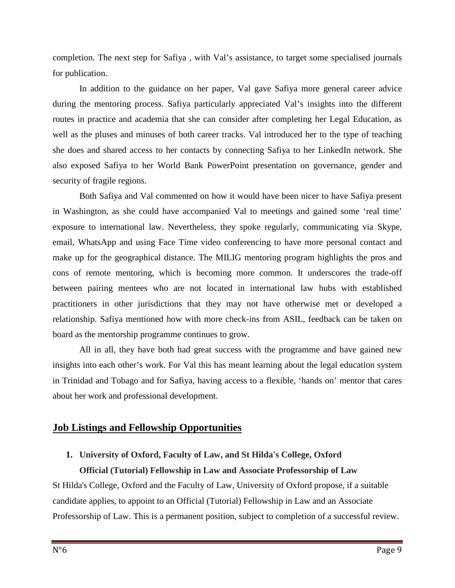completion. The next step for Safiya , with Val's assistance, to target some specialised journals for publication.

In addition to the guidance on her paper, Val gave Safiya more general career advice during the mentoring process. Safiya particularly appreciated Val's insights into the different routes in practice and academia that she can consider after completing her Legal Education, as well as the pluses and minuses of both career tracks. Val introduced her to the type of teaching she does and shared access to her contacts by connecting Safiya to her LinkedIn network. She also exposed Safiya to her World Bank PowerPoint presentation on governance, gender and security of fragile regions.

Both Safiya and Val commented on how it would have been nicer to have Safiya present in Washington, as she could have accompanied Val to meetings and gained some 'real time' exposure to international law. Nevertheless, they spoke regularly, communicating via Skype, email, WhatsApp and using Face Time video conferencing to have more personal contact and make up for the geographical distance. The MILIG mentoring program highlights the pros and cons of remote mentoring, which is becoming more common. It underscores the trade-off between pairing mentees who are not located in international law hubs with established practitioners in other jurisdictions that they may not have otherwise met or developed a relationship. Safiya mentioned how with more check-ins from ASIL, feedback can be taken on board as the mentorship programme continues to grow.

All in all, they have both had great success with the programme and have gained new insights into each other's work. For Val this has meant learning about the legal education system in Trinidad and Tobago and for Safiya, having access to a flexible, 'hands on' mentor that cares about her work and professional development.

## **Job Listings and Fellowship Opportunities**

## **1. University of Oxford, Faculty of Law, and St Hilda's College, Oxford Official (Tutorial) Fellowship in Law and Associate Professorship of Law**

St Hilda's College, Oxford and the Faculty of Law, University of Oxford propose, if a suitable candidate applies, to appoint to an Official (Tutorial) Fellowship in Law and an Associate Professorship of Law. This is a permanent position, subject to completion of a successful review.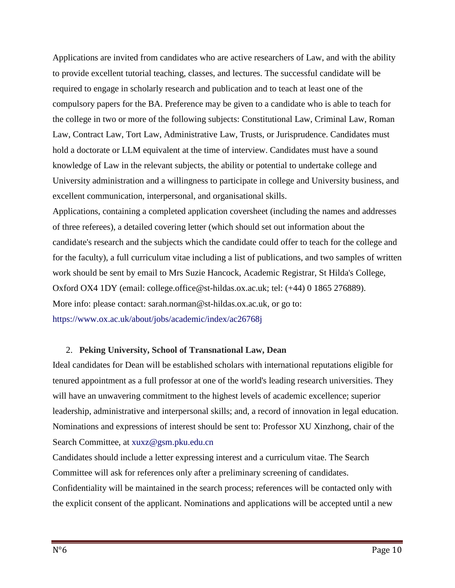Applications are invited from candidates who are active researchers of Law, and with the ability to provide excellent tutorial teaching, classes, and lectures. The successful candidate will be required to engage in scholarly research and publication and to teach at least one of the compulsory papers for the BA. Preference may be given to a candidate who is able to teach for the college in two or more of the following subjects: Constitutional Law, Criminal Law, Roman Law, Contract Law, Tort Law, Administrative Law, Trusts, or Jurisprudence. Candidates must hold a doctorate or LLM equivalent at the time of interview. Candidates must have a sound knowledge of Law in the relevant subjects, the ability or potential to undertake college and University administration and a willingness to participate in college and University business, and excellent communication, interpersonal, and organisational skills.

Applications, containing a completed application coversheet (including the names and addresses of three referees), a detailed covering letter (which should set out information about the candidate's research and the subjects which the candidate could offer to teach for the college and for the faculty), a full curriculum vitae including a list of publications, and two samples of written work should be sent by email to Mrs Suzie Hancock, Academic Registrar, St Hilda's College, Oxford OX4 1DY (email: college.office@st-hildas.ox.ac.uk; tel: (+44) 0 1865 276889). More info: please contact: sarah.norman@st-hildas.ox.ac.uk, or go to: https://www.ox.ac.uk/about/jobs/academic/index/ac26768j

### 2. **Peking University, School of Transnational Law, Dean**

Ideal candidates for Dean will be established scholars with international reputations eligible for tenured appointment as a full professor at one of the world's leading research universities. They will have an unwavering commitment to the highest levels of academic excellence; superior leadership, administrative and interpersonal skills; and, a record of innovation in legal education. Nominations and expressions of interest should be sent to: Professor XU Xinzhong, chair of the Search Committee, at xuxz@gsm.pku.edu.cn

Candidates should include a letter expressing interest and a curriculum vitae. The Search Committee will ask for references only after a preliminary screening of candidates. Confidentiality will be maintained in the search process; references will be contacted only with the explicit consent of the applicant. Nominations and applications will be accepted until a new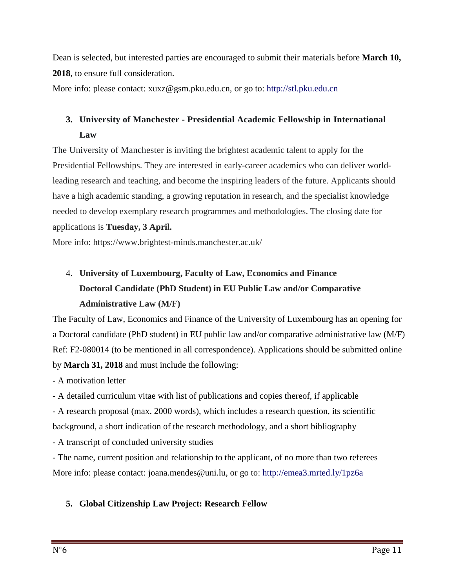Dean is selected, but interested parties are encouraged to submit their materials before **March 10, 2018**, to ensure full consideration.

More info: please contact: xuxz@gsm.pku.edu.cn, or go to: http://stl.pku.edu.cn

## **3. University of Manchester - Presidential Academic Fellowship in International Law**

The University of Manchester is inviting the brightest academic talent to apply for the Presidential Fellowships. They are interested in early-career academics who can deliver worldleading research and teaching, and become the inspiring leaders of the future. Applicants should have a high academic standing, a growing reputation in research, and the specialist knowledge needed to develop exemplary research programmes and methodologies. The closing date for applications is **Tuesday, 3 April.**

More info: https://www.brightest-minds.manchester.ac.uk/

# 4. **University of Luxembourg, Faculty of Law, Economics and Finance Doctoral Candidate (PhD Student) in EU Public Law and/or Comparative Administrative Law (M/F)**

The Faculty of Law, Economics and Finance of the University of Luxembourg has an opening for a Doctoral candidate (PhD student) in EU public law and/or comparative administrative law (M/F) Ref: F2-080014 (to be mentioned in all correspondence). Applications should be submitted online by **March 31, 2018** and must include the following:

- A motivation letter

- A detailed curriculum vitae with list of publications and copies thereof, if applicable

- A research proposal (max. 2000 words), which includes a research question, its scientific

background, a short indication of the research methodology, and a short bibliography

- A transcript of concluded university studies

- The name, current position and relationship to the applicant, of no more than two referees More info: please contact: joana.mendes@uni.lu, or go to: http://emea3.mrted.ly/1pz6a

## **5. Global Citizenship Law Project: Research Fellow**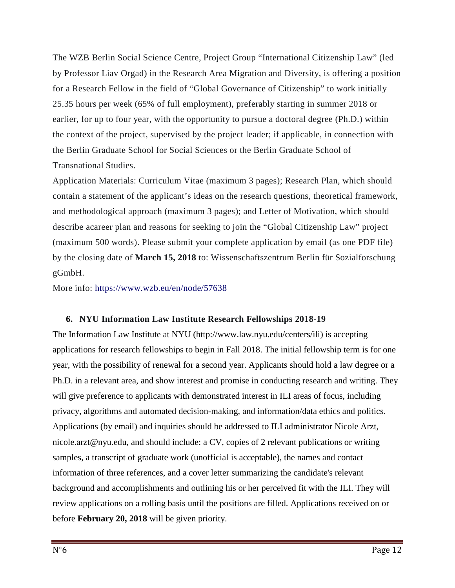The WZB Berlin Social Science Centre, Project Group "International Citizenship Law" (led by Professor Liav Orgad) in the Research Area Migration and Diversity, is offering a position for a Research Fellow in the field of "Global Governance of Citizenship" to work initially 25.35 hours per week (65% of full employment), preferably starting in summer 2018 or earlier, for up to four year, with the opportunity to pursue a doctoral degree (Ph.D.) within the context of the project, supervised by the project leader; if applicable, in connection with the Berlin Graduate School for Social Sciences or the Berlin Graduate School of Transnational Studies.

Application Materials: Curriculum Vitae (maximum 3 pages); Research Plan, which should contain a statement of the applicant's ideas on the research questions, theoretical framework, and methodological approach (maximum 3 pages); and Letter of Motivation, which should describe acareer plan and reasons for seeking to join the "Global Citizenship Law" project (maximum 500 words). Please submit your complete application by email (as one PDF file) by the closing date of **March 15, 2018** to: Wissenschaftszentrum Berlin für Sozialforschung gGmbH.

More info: https://www.wzb.eu/en/node/57638

### **6. NYU Information Law Institute Research Fellowships 2018-19**

The Information Law Institute at NYU (http://www.law.nyu.edu/centers/ili) is accepting applications for research fellowships to begin in Fall 2018. The initial fellowship term is for one year, with the possibility of renewal for a second year. Applicants should hold a law degree or a Ph.D. in a relevant area, and show interest and promise in conducting research and writing. They will give preference to applicants with demonstrated interest in ILI areas of focus, including privacy, algorithms and automated decision-making, and information/data ethics and politics. Applications (by email) and inquiries should be addressed to ILI administrator Nicole Arzt, nicole.arzt@nyu.edu, and should include: a CV, copies of 2 relevant publications or writing samples, a transcript of graduate work (unofficial is acceptable), the names and contact information of three references, and a cover letter summarizing the candidate's relevant background and accomplishments and outlining his or her perceived fit with the ILI. They will review applications on a rolling basis until the positions are filled. Applications received on or before **February 20, 2018** will be given priority.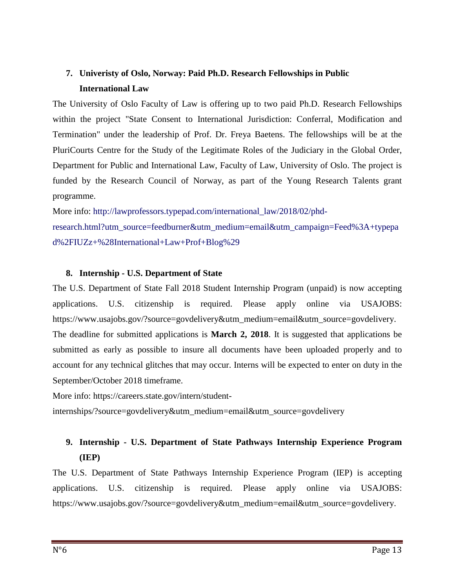## **7. Univeristy of Oslo, Norway: Paid Ph.D. Research Fellowships in Public International Law**

The University of Oslo Faculty of Law is offering up to two paid Ph.D. Research Fellowships within the project "State Consent to International Jurisdiction: Conferral, Modification and Termination" under the leadership of Prof. Dr. Freya Baetens. The fellowships will be at the PluriCourts Centre for the Study of the Legitimate Roles of the Judiciary in the Global Order, Department for Public and International Law, Faculty of Law, University of Oslo. The project is funded by the Research Council of Norway, as part of the Young Research Talents grant programme.

More info: http://lawprofessors.typepad.com/international\_law/2018/02/phd-

research.html?utm\_source=feedburner&utm\_medium=email&utm\_campaign=Feed%3A+typepa d%2FIUZz+%28International+Law+Prof+Blog%29

#### **8. Internship - U.S. Department of State**

The U.S. Department of State Fall 2018 Student Internship Program (unpaid) is now accepting applications. U.S. citizenship is required. Please apply online via USAJOBS: https://www.usajobs.gov/?source=govdelivery&utm\_medium=email&utm\_source=govdelivery.

The deadline for submitted applications is **March 2, 2018**. It is suggested that applications be submitted as early as possible to insure all documents have been uploaded properly and to account for any technical glitches that may occur. Interns will be expected to enter on duty in the September/October 2018 timeframe.

More info: https://careers.state.gov/intern/student-

internships/?source=govdelivery&utm\_medium=email&utm\_source=govdelivery

## **9. Internship - U.S. Department of State Pathways Internship Experience Program (IEP)**

The U.S. Department of State Pathways Internship Experience Program (IEP) is accepting applications. U.S. citizenship is required. Please apply online via USAJOBS: https://www.usajobs.gov/?source=govdelivery&utm\_medium=email&utm\_source=govdelivery.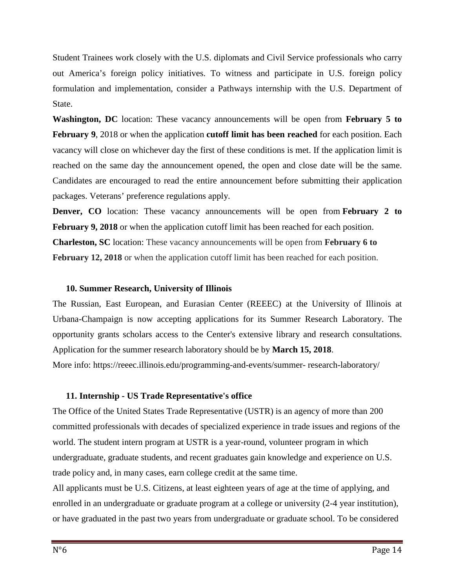Student Trainees work closely with the U.S. diplomats and Civil Service professionals who carry out America's foreign policy initiatives. To witness and participate in U.S. foreign policy formulation and implementation, consider a Pathways internship with the U.S. Department of State.

**Washington, DC** location: These vacancy announcements will be open from **February 5 to February 9**, 2018 or when the application **cutoff limit has been reached** for each position. Each vacancy will close on whichever day the first of these conditions is met. If the application limit is reached on the same day the announcement opened, the open and close date will be the same. Candidates are encouraged to read the entire announcement before submitting their application packages. Veterans' preference regulations apply.

**Denver, CO** location: These vacancy announcements will be open from **February 2 to February 9, 2018** or when the application cutoff limit has been reached for each position. **Charleston, SC** location: These vacancy announcements will be open from **February 6 to February 12, 2018** or when the application cutoff limit has been reached for each position.

#### **10. Summer Research, University of Illinois**

The Russian, East European, and Eurasian Center (REEEC) at the University of Illinois at Urbana-Champaign is now accepting applications for its Summer Research Laboratory. The opportunity grants scholars access to the Center's extensive library and research consultations. Application for the summer research laboratory should be by **March 15, 2018**.

More info: https://reeec.illinois.edu/programming-and-events/summer- research-laboratory/

### **11. Internship - US Trade Representative's office**

The Office of the United States Trade Representative (USTR) is an agency of more than 200 committed professionals with decades of specialized experience in trade issues and regions of the world. The student intern program at USTR is a year-round, volunteer program in which undergraduate, graduate students, and recent graduates gain knowledge and experience on U.S. trade policy and, in many cases, earn college credit at the same time.

All applicants must be U.S. Citizens, at least eighteen years of age at the time of applying, and enrolled in an undergraduate or graduate program at a college or university (2-4 year institution), or have graduated in the past two years from undergraduate or graduate school. To be considered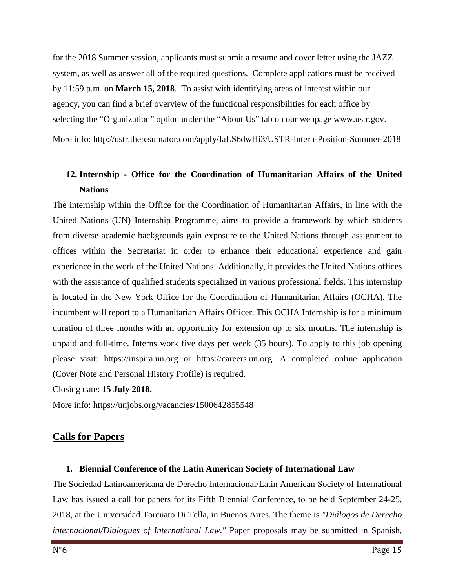for the 2018 Summer session, applicants must submit a resume and cover letter using the JAZZ system, as well as answer all of the required questions. Complete applications must be received by 11:59 p.m. on **March 15, 2018**. To assist with identifying areas of interest within our agency, you can find a brief overview of the functional responsibilities for each office by selecting the "Organization" option under the "About Us" tab on our webpage www.ustr.gov. More info: http://ustr.theresumator.com/apply/IaLS6dwHi3/USTR-Intern-Position-Summer-2018

## **12. Internship - Office for the Coordination of Humanitarian Affairs of the United Nations**

The internship within the Office for the Coordination of Humanitarian Affairs, in line with the United Nations (UN) Internship Programme, aims to provide a framework by which students from diverse academic backgrounds gain exposure to the United Nations through assignment to offices within the Secretariat in order to enhance their educational experience and gain experience in the work of the United Nations. Additionally, it provides the United Nations offices with the assistance of qualified students specialized in various professional fields. This internship is located in the New York Office for the Coordination of Humanitarian Affairs (OCHA). The incumbent will report to a Humanitarian Affairs Officer. This OCHA Internship is for a minimum duration of three months with an opportunity for extension up to six months. The internship is unpaid and full-time. Interns work five days per week (35 hours). To apply to this job opening please visit: https://inspira.un.org or https://careers.un.org. A completed online application (Cover Note and Personal History Profile) is required.

Closing date: **15 July 2018.** 

More info: https://unjobs.org/vacancies/1500642855548

## **Calls for Papers**

## **1. Biennial Conference of the Latin American Society of International Law**

The Sociedad Latinoamericana de Derecho Internacional/Latin American Society of International Law has issued a call for papers for its Fifth Biennial Conference, to be held September 24-25, 2018, at the Universidad Torcuato Di Tella, in Buenos Aires. The theme is *"Diálogos de Derecho internacional/Dialogues of International Law."* Paper proposals may be submitted in Spanish,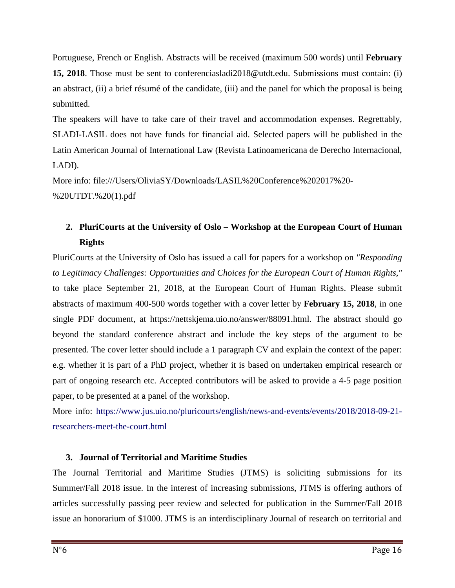Portuguese, French or English. Abstracts will be received (maximum 500 words) until **February 15, 2018**. Those must be sent to conferenciasladi2018@utdt.edu. Submissions must contain: (i) an abstract, (ii) a brief résumé of the candidate, (iii) and the panel for which the proposal is being submitted.

The speakers will have to take care of their travel and accommodation expenses. Regrettably, SLADI-LASIL does not have funds for financial aid. Selected papers will be published in the Latin American Journal of International Law (Revista Latinoamericana de Derecho Internacional, LADI).

More info: file:///Users/OliviaSY/Downloads/LASIL%20Conference%202017%20- %20UTDT.%20(1).pdf

## **2. PluriCourts at the University of Oslo – Workshop at the European Court of Human Rights**

PluriCourts at the University of Oslo has issued a call for papers for a workshop on *"Responding to Legitimacy Challenges: Opportunities and Choices for the European Court of Human Rights,"* to take place September 21, 2018, at the European Court of Human Rights. Please submit abstracts of maximum 400-500 words together with a cover letter by **February 15, 2018**, in one single PDF document, at https://nettskjema.uio.no/answer/88091.html. The abstract should go beyond the standard conference abstract and include the key steps of the argument to be presented. The cover letter should include a 1 paragraph CV and explain the context of the paper: e.g. whether it is part of a PhD project, whether it is based on undertaken empirical research or part of ongoing research etc. Accepted contributors will be asked to provide a 4-5 page position paper, to be presented at a panel of the workshop.

More info: https://www.jus.uio.no/pluricourts/english/news-and-events/events/2018/2018-09-21researchers-meet-the-court.html

## **3. Journal of Territorial and Maritime Studies**

The Journal Territorial and Maritime Studies (JTMS) is soliciting submissions for its Summer/Fall 2018 issue. In the interest of increasing submissions, JTMS is offering authors of articles successfully passing peer review and selected for publication in the Summer/Fall 2018 issue an honorarium of \$1000. JTMS is an interdisciplinary Journal of research on territorial and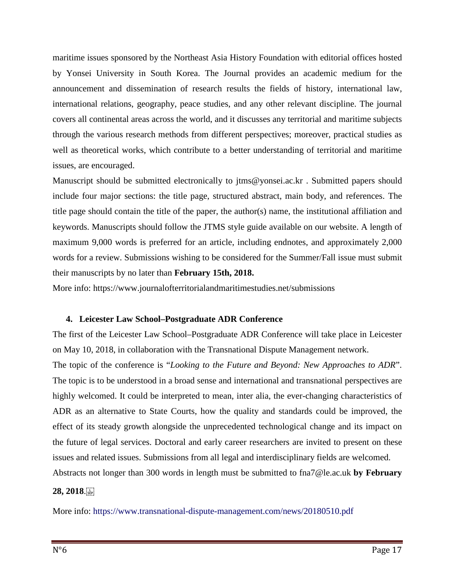maritime issues sponsored by the Northeast Asia History Foundation with editorial offices hosted by Yonsei University in South Korea. The Journal provides an academic medium for the announcement and dissemination of research results the fields of history, international law, international relations, geography, peace studies, and any other relevant discipline. The journal covers all continental areas across the world, and it discusses any territorial and maritime subjects through the various research methods from different perspectives; moreover, practical studies as well as theoretical works, which contribute to a better understanding of territorial and maritime issues, are encouraged.

Manuscript should be submitted electronically to jtms@yonsei.ac.kr. Submitted papers should include four major sections: the title page, structured abstract, main body, and references. The title page should contain the title of the paper, the author(s) name, the institutional affiliation and keywords. Manuscripts should follow the JTMS style guide available on our website. A length of maximum 9,000 words is preferred for an article, including endnotes, and approximately 2,000 words for a review. Submissions wishing to be considered for the Summer/Fall issue must submit their manuscripts by no later than **February 15th, 2018.** 

More info: https://www.journalofterritorialandmaritimestudies.net/submissions

### **4. Leicester Law School–Postgraduate ADR Conference**

The first of the Leicester Law School–Postgraduate ADR Conference will take place in Leicester on May 10, 2018, in collaboration with the Transnational Dispute Management network.

The topic of the conference is "*Looking to the Future and Beyond: New Approaches to ADR*". The topic is to be understood in a broad sense and international and transnational perspectives are highly welcomed. It could be interpreted to mean, inter alia, the ever-changing characteristics of ADR as an alternative to State Courts, how the quality and standards could be improved, the effect of its steady growth alongside the unprecedented technological change and its impact on the future of legal services. Doctoral and early career researchers are invited to present on these issues and related issues. Submissions from all legal and interdisciplinary fields are welcomed.

Abstracts not longer than 300 words in length must be submitted to fna7@le.ac.uk **by February** 

### **28, 2018**.

More info: https://www.transnational-dispute-management.com/news/20180510.pdf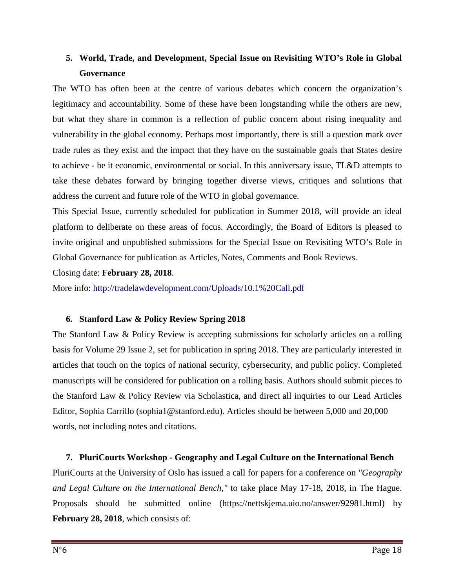## **5. World, Trade, and Development, Special Issue on Revisiting WTO's Role in Global Governance**

The WTO has often been at the centre of various debates which concern the organization's legitimacy and accountability. Some of these have been longstanding while the others are new, but what they share in common is a reflection of public concern about rising inequality and vulnerability in the global economy. Perhaps most importantly, there is still a question mark over trade rules as they exist and the impact that they have on the sustainable goals that States desire to achieve - be it economic, environmental or social. In this anniversary issue, TL&D attempts to take these debates forward by bringing together diverse views, critiques and solutions that address the current and future role of the WTO in global governance.

This Special Issue, currently scheduled for publication in Summer 2018, will provide an ideal platform to deliberate on these areas of focus. Accordingly, the Board of Editors is pleased to invite original and unpublished submissions for the Special Issue on Revisiting WTO's Role in Global Governance for publication as Articles, Notes, Comments and Book Reviews.

Closing date: **February 28, 2018**.

More info: http://tradelawdevelopment.com/Uploads/10.1%20Call.pdf

## **6. Stanford Law & Policy Review Spring 2018**

The Stanford Law & Policy Review is accepting submissions for scholarly articles on a rolling basis for Volume 29 Issue 2, set for publication in spring 2018. They are particularly interested in articles that touch on the topics of national security, cybersecurity, and public policy. Completed manuscripts will be considered for publication on a rolling basis. Authors should submit pieces to the Stanford Law & Policy Review via Scholastica, and direct all inquiries to our Lead Articles Editor, Sophia Carrillo (sophia1@stanford.edu). Articles should be between 5,000 and 20,000 words, not including notes and citations.

## **7. PluriCourts Workshop - Geography and Legal Culture on the International Bench**

PluriCourts at the University of Oslo has issued a call for papers for a conference on *"Geography and Legal Culture on the International Bench,"* to take place May 17-18, 2018, in The Hague. Proposals should be submitted online (https://nettskjema.uio.no/answer/92981.html) by **February 28, 2018**, which consists of: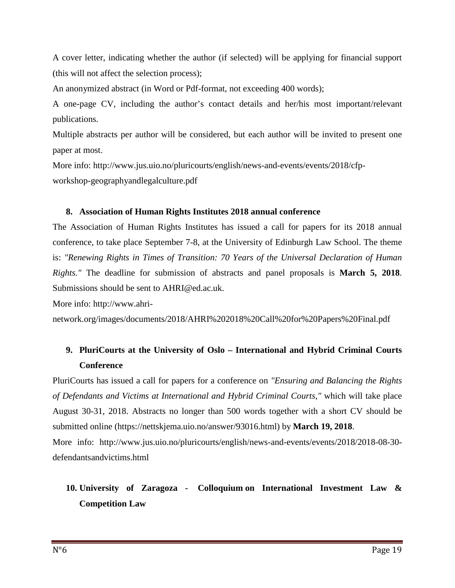A cover letter, indicating whether the author (if selected) will be applying for financial support (this will not affect the selection process);

An anonymized abstract (in Word or Pdf-format, not exceeding 400 words);

A one-page CV, including the author's contact details and her/his most important/relevant publications.

Multiple abstracts per author will be considered, but each author will be invited to present one paper at most.

More info: http://www.jus.uio.no/pluricourts/english/news-and-events/events/2018/cfpworkshop-geographyandlegalculture.pdf

### **8. Association of Human Rights Institutes 2018 annual conference**

The Association of Human Rights Institutes has issued a call for papers for its 2018 annual conference, to take place September 7-8, at the University of Edinburgh Law School. The theme is: *"Renewing Rights in Times of Transition: 70 Years of the Universal Declaration of Human Rights."* The deadline for submission of abstracts and panel proposals is **March 5, 2018**. Submissions should be sent to AHRI@ed.ac.uk.

More info: http://www.ahri-

network.org/images/documents/2018/AHRI%202018%20Call%20for%20Papers%20Final.pdf

## **9. PluriCourts at the University of Oslo – International and Hybrid Criminal Courts Conference**

PluriCourts has issued a call for papers for a conference on *"Ensuring and Balancing the Rights of Defendants and Victims at International and Hybrid Criminal Courts,"* which will take place August 30-31, 2018. Abstracts no longer than 500 words together with a short CV should be submitted online (https://nettskjema.uio.no/answer/93016.html) by **March 19, 2018**.

More info: http://www.jus.uio.no/pluricourts/english/news-and-events/events/2018/2018-08-30defendantsandvictims.html

# **10. University of Zaragoza - Colloquium on International Investment Law & Competition Law**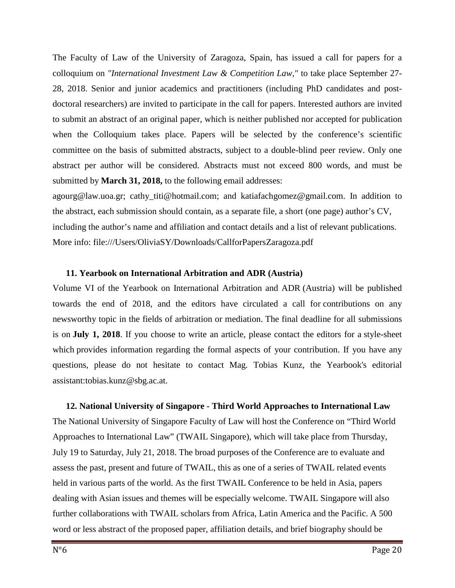The Faculty of Law of the University of Zaragoza, Spain, has issued a call for papers for a colloquium on *"International Investment Law & Competition Law,"* to take place September 27- 28, 2018. Senior and junior academics and practitioners (including PhD candidates and postdoctoral researchers) are invited to participate in the call for papers. Interested authors are invited to submit an abstract of an original paper, which is neither published nor accepted for publication when the Colloquium takes place. Papers will be selected by the conference's scientific committee on the basis of submitted abstracts, subject to a double-blind peer review. Only one abstract per author will be considered. Abstracts must not exceed 800 words, and must be submitted by **March 31, 2018,** to the following email addresses:

agourg@law.uoa.gr; cathy\_titi@hotmail.com; and katiafachgomez@gmail.com. In addition to the abstract, each submission should contain, as a separate file, a short (one page) author's CV, including the author's name and affiliation and contact details and a list of relevant publications. More info: file:///Users/OliviaSY/Downloads/CallforPapersZaragoza.pdf

#### **11. Yearbook on International Arbitration and ADR (Austria)**

Volume VI of the Yearbook on International Arbitration and ADR (Austria) will be published towards the end of 2018, and the editors have circulated a call for contributions on any newsworthy topic in the fields of arbitration or mediation. The final deadline for all submissions is on **July 1, 2018**. If you choose to write an article, please contact the editors for a style-sheet which provides information regarding the formal aspects of your contribution. If you have any questions, please do not hesitate to contact Mag. Tobias Kunz, the Yearbook's editorial assistant:tobias.kunz@sbg.ac.at.

#### **12. National University of Singapore - Third World Approaches to International Law**

The National University of Singapore Faculty of Law will host the Conference on "Third World Approaches to International Law" (TWAIL Singapore), which will take place from Thursday, July 19 to Saturday, July 21, 2018. The broad purposes of the Conference are to evaluate and assess the past, present and future of TWAIL, this as one of a series of TWAIL related events held in various parts of the world. As the first TWAIL Conference to be held in Asia, papers dealing with Asian issues and themes will be especially welcome. TWAIL Singapore will also further collaborations with TWAIL scholars from Africa, Latin America and the Pacific. A 500 word or less abstract of the proposed paper, affiliation details, and brief biography should be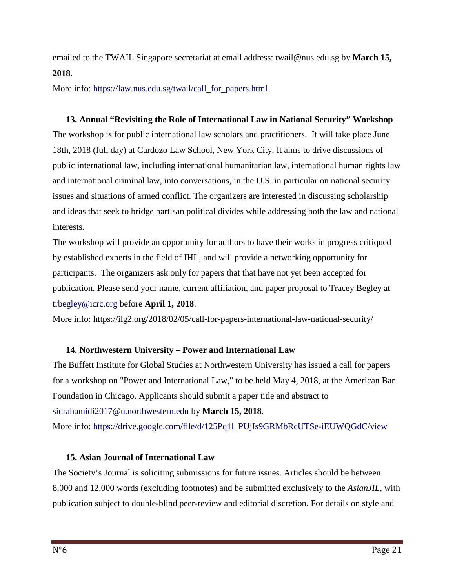emailed to the TWAIL Singapore secretariat at email address: twail@nus.edu.sg by **March 15, 2018**.

More info: https://law.nus.edu.sg/twail/call\_for\_papers.html

### **13. Annual "Revisiting the Role of International Law in National Security" Workshop**

The workshop is for public international law scholars and practitioners. It will take place June 18th, 2018 (full day) at Cardozo Law School, New York City. It aims to drive discussions of public international law, including international humanitarian law, international human rights law and international criminal law, into conversations, in the U.S. in particular on national security issues and situations of armed conflict. The organizers are interested in discussing scholarship and ideas that seek to bridge partisan political divides while addressing both the law and national interests.

The workshop will provide an opportunity for authors to have their works in progress critiqued by established experts in the field of IHL, and will provide a networking opportunity for participants. The organizers ask only for papers that that have not yet been accepted for publication. Please send your name, current affiliation, and paper proposal to Tracey Begley at trbegley@icrc.org before **April 1, 2018**.

More info: https://ilg2.org/2018/02/05/call-for-papers-international-law-national-security/

## **14. Northwestern University – Power and International Law**

The Buffett Institute for Global Studies at Northwestern University has issued a call for papers for a workshop on "Power and International Law," to be held May 4, 2018, at the American Bar Foundation in Chicago. Applicants should submit a paper title and abstract to sidrahamidi2017@u.northwestern.edu by **March 15, 2018**. More info: https://drive.google.com/file/d/125Pq1l\_PUjIs9GRMbRcUTSe-iEUWQGdC/view

## **15. Asian Journal of International Law**

The Society's Journal is soliciting submissions for future issues. Articles should be between 8,000 and 12,000 words (excluding footnotes) and be submitted exclusively to the *AsianJIL*, with publication subject to double-blind peer-review and editorial discretion. For details on style and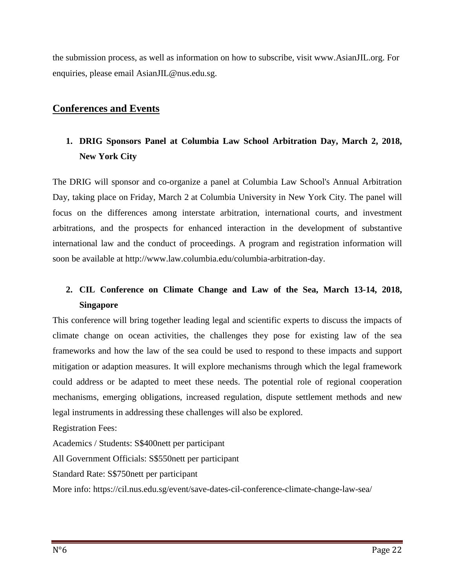the submission process, as well as information on how to subscribe, visit www.AsianJIL.org. For enquiries, please email AsianJIL@nus.edu.sg.

## **Conferences and Events**

## **1. DRIG Sponsors Panel at Columbia Law School Arbitration Day, March 2, 2018, New York City**

The DRIG will sponsor and co-organize a panel at Columbia Law School's Annual Arbitration Day, taking place on Friday, March 2 at Columbia University in New York City. The panel will focus on the differences among interstate arbitration, international courts, and investment arbitrations, and the prospects for enhanced interaction in the development of substantive international law and the conduct of proceedings. A program and registration information will soon be available at http://www.law.columbia.edu/columbia-arbitration-day.

## **2. CIL Conference on Climate Change and Law of the Sea, March 13-14, 2018, Singapore**

This conference will bring together leading legal and scientific experts to discuss the impacts of climate change on ocean activities, the challenges they pose for existing law of the sea frameworks and how the law of the sea could be used to respond to these impacts and support mitigation or adaption measures. It will explore mechanisms through which the legal framework could address or be adapted to meet these needs. The potential role of regional cooperation mechanisms, emerging obligations, increased regulation, dispute settlement methods and new legal instruments in addressing these challenges will also be explored.

Registration Fees:

Academics / Students: S\$400nett per participant

All Government Officials: S\$550nett per participant

Standard Rate: S\$750nett per participant

More info: https://cil.nus.edu.sg/event/save-dates-cil-conference-climate-change-law-sea/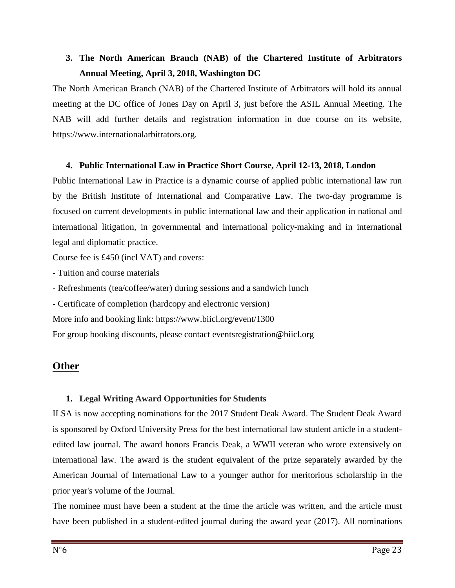## **3. The North American Branch (NAB) of the Chartered Institute of Arbitrators Annual Meeting, April 3, 2018, Washington DC**

The North American Branch (NAB) of the Chartered Institute of Arbitrators will hold its annual meeting at the DC office of Jones Day on April 3, just before the ASIL Annual Meeting. The NAB will add further details and registration information in due course on its website, https://www.internationalarbitrators.org.

#### **4. Public International Law in Practice Short Course, April 12-13, 2018, London**

Public International Law in Practice is a dynamic course of applied public international law run by the British Institute of International and Comparative Law. The two-day programme is focused on current developments in public international law and their application in national and international litigation, in governmental and international policy-making and in international legal and diplomatic practice.

Course fee is £450 (incl VAT) and covers:

- Tuition and course materials

- Refreshments (tea/coffee/water) during sessions and a sandwich lunch

- Certificate of completion (hardcopy and electronic version)

More info and booking link: https://www.biicl.org/event/1300

For group booking discounts, please contact eventsregistration@biicl.org

## **Other**

## **1. Legal Writing Award Opportunities for Students**

ILSA is now accepting nominations for the 2017 Student Deak Award. The Student Deak Award is sponsored by Oxford University Press for the best international law student article in a studentedited law journal. The award honors Francis Deak, a WWII veteran who wrote extensively on international law. The award is the student equivalent of the prize separately awarded by the American Journal of International Law to a younger author for meritorious scholarship in the prior year's volume of the Journal.

The nominee must have been a student at the time the article was written, and the article must have been published in a student-edited journal during the award year (2017). All nominations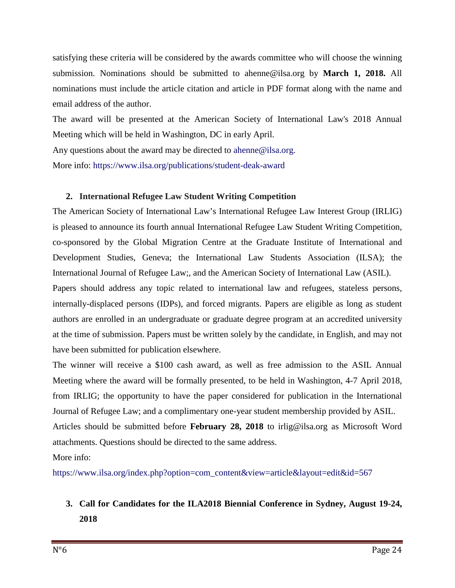satisfying these criteria will be considered by the awards committee who will choose the winning submission. Nominations should be submitted to ahenne@ilsa.org by **March 1, 2018.** All nominations must include the article citation and article in PDF format along with the name and email address of the author.

The award will be presented at the American Society of International Law's 2018 Annual Meeting which will be held in Washington, DC in early April.

Any questions about the award may be directed to ahenne@ilsa.org.

More info: https://www.ilsa.org/publications/student-deak-award

### **2. International Refugee Law Student Writing Competition**

The American Society of International Law's International Refugee Law Interest Group (IRLIG) is pleased to announce its fourth annual International Refugee Law Student Writing Competition, co-sponsored by the Global Migration Centre at the Graduate Institute of International and Development Studies, Geneva; the International Law Students Association (ILSA); the International Journal of Refugee Law;, and the American Society of International Law (ASIL).

Papers should address any topic related to international law and refugees, stateless persons, internally-displaced persons (IDPs), and forced migrants. Papers are eligible as long as student authors are enrolled in an undergraduate or graduate degree program at an accredited university at the time of submission. Papers must be written solely by the candidate, in English, and may not have been submitted for publication elsewhere.

The winner will receive a \$100 cash award, as well as free admission to the ASIL Annual Meeting where the award will be formally presented, to be held in Washington, 4-7 April 2018, from IRLIG; the opportunity to have the paper considered for publication in the International Journal of Refugee Law; and a complimentary one-year student membership provided by ASIL. Articles should be submitted before **February 28, 2018** to irlig@ilsa.org as Microsoft Word attachments. Questions should be directed to the same address.

More info:

https://www.ilsa.org/index.php?option=com\_content&view=article&layout=edit&id=567

## **3. Call for Candidates for the ILA2018 Biennial Conference in Sydney, August 19-24, 2018**